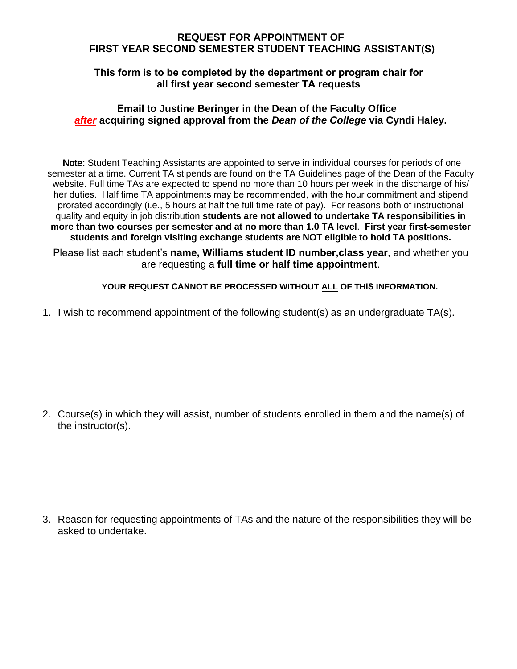## **REQUEST FOR APPOINTMENT OF FIRST YEAR SECOND SEMESTER STUDENT TEACHING ASSISTANT(S)**

## **This form is to be completed by the department or program chair for all first year second semester TA requests**

## **Email to Justine Beringer in the Dean of the Faculty Office** *after* **acquiring signed approval from the** *Dean of the College* **via Cyndi Haley.**

 Note: Student Teaching Assistants are appointed to serve in individual courses for periods of one semester at a time. Current TA stipends are found on the TA Guidelines page of the Dean of the Faculty website. Full time TAs are expected to spend no more than 10 hours per week in the discharge of his/ her duties. Half time TA appointments may be recommended, with the hour commitment and stipend prorated accordingly (i.e., 5 hours at half the full time rate of pay). For reasons both of instructional quality and equity in job distribution **students are not allowed to undertake TA responsibilities in more than two courses per semester and at no more than 1.0 TA level**. **First year first-semester students and foreign visiting exchange students are NOT eligible to hold TA positions.**

Please list each student's **name, Williams student ID number,class year**, and whether you are requesting a **full time or half time appointment**.

## **YOUR REQUEST CANNOT BE PROCESSED WITHOUT ALL OF THIS INFORMATION.**

1. I wish to recommend appointment of the following student(s) as an undergraduate TA(s).

2. Course(s) in which they will assist, number of students enrolled in them and the name(s) of the instructor(s).

3. Reason for requesting appointments of TAs and the nature of the responsibilities they will be asked to undertake.